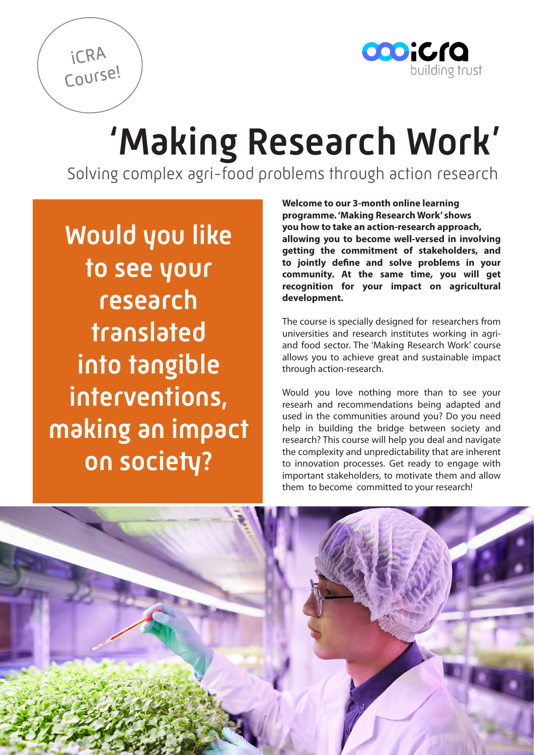

## 'Making Research Work'

Solving complex agri-food problems through action research

Would you like to see your research translated into tangible interventions, making an impact on society?

iCRA

Course!

**Welcome to our 3-month online learning programme. 'Making Research Work' shows you how to take an action-research approach, allowing you to become well-versed in involving getting the commitment of stakeholders, and to jointly define and solve problems in your community. At the same time, you will get recognition for your impact on agricultural development.**

The course is specially designed for researchers from universities and research institutes working in agriand food sector. The 'Making Research Work' course allows you to achieve great and sustainable impact through action-research.

Would you love nothing more than to see your researh and recommendations being adapted and used in the communities around you? Do you need help in building the bridge between society and research? This course will help you deal and navigate the complexity and unpredictability that are inherent to innovation processes. Get ready to engage with important stakeholders, to motivate them and allow them to become committed to your research!